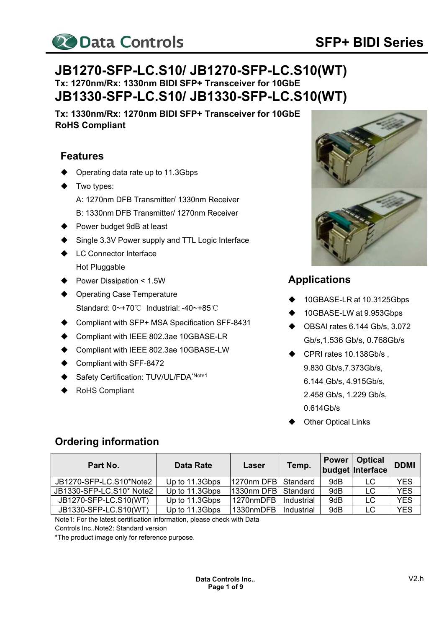

# **JB1270-SFP-LC.S10/ JB1270-SFP-LC.S10(WT) Tx: 1270nm/Rx: 1330nm BIDI SFP+ Transceiver for 10GbE JB1330-SFP-LC.S10/ JB1330-SFP-LC.S10(WT)**

**Tx: 1330nm/Rx: 1270nm BIDI SFP+ Transceiver for 10GbE RoHS Compliant** 

## **Features**

- Operating data rate up to 11.3Gbps
- Two types:
	- A: 1270nm DFB Transmitter/ 1330nm Receiver
	- B: 1330nm DFB Transmitter/ 1270nm Receiver
- ▶ Power budget 9dB at least
- Single 3.3V Power supply and TTL Logic Interface
- **LC Connector Interface** Hot Pluggable
- Power Dissipation < 1.5W
- Operating Case Temperature Standard: 0~+70℃ Industrial: -40~+85℃
- ◆ Compliant with SFP+ MSA Specification SFF-8431
- Compliant with IEEE 802.3ae 10GBASE-LR
- Compliant with IEEE 802.3ae 10GBASE-LW
- Compliant with SFF-8472
- Safety Certification: TUV/UL/FDA<sup>\*Note1</sup>
- RoHS Compliant



### **Applications**

- 10GBASE-LR at 10.3125Gbps
- 10GBASE-LW at 9.953Gbps
- $\blacklozenge$  OBSAI rates 6.144 Gb/s, 3.072 Gb/s,1.536 Gb/s, 0.768Gb/s
- ◆ CPRI rates 10.138Gb/s, 9.830 Gb/s,7.373Gb/s, 6.144 Gb/s, 4.915 Gb/s, 2.458 Gb/s, 1.229 Gb/s,
	- 0.614Gb/s
- Other Optical Links

# **Ordering information**

| Part No.                 | Data Rate      | Laser                 | Temp.      | <b>Power</b> | Optical<br>budget Interface | <b>DDMI</b> |
|--------------------------|----------------|-----------------------|------------|--------------|-----------------------------|-------------|
| JB1270-SFP-LC.S10*Note2  | Up to 11.3Gbps | 11270nm DFBI Standard |            | 9dB          | LC                          | YES         |
| JB1330-SFP-LC.S10* Note2 | Up to 11.3Gbps | 1330nm DFB            | Standard   | 9dB          | LC                          | <b>YES</b>  |
| JB1270-SFP-LC.S10(WT)    | Up to 11.3Gbps | 1270nmDFB             | Industrial | 9dB          | LC                          | <b>YES</b>  |
| JB1330-SFP-LC.S10(WT)    | Up to 11.3Gbps | 1330nmDFB             | Industrial | 9dB          | LC                          | <b>YES</b>  |

Note1: For the latest certification information, please check with Data

Controls Inc.. Note2: Standard version

\*The product image only for reference purpose.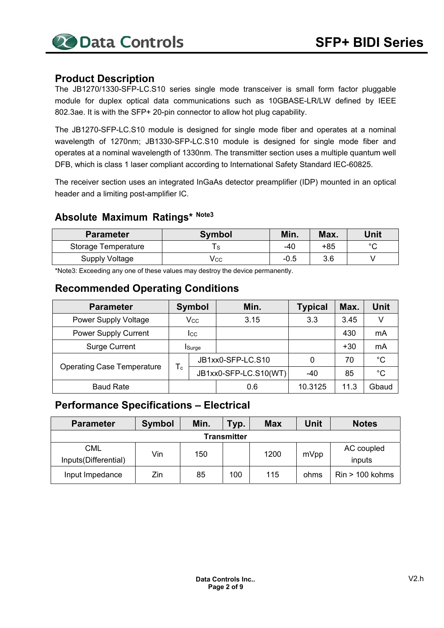#### **Product Description**

The JB1270/1330-SFP-LC.S10 series single mode transceiver is small form factor pluggable module for duplex optical data communications such as 10GBASE-LR/LW defined by IEEE 802.3ae. It is with the SFP+ 20-pin connector to allow hot plug capability.

The JB1270-SFP-LC.S10 module is designed for single mode fiber and operates at a nominal wavelength of 1270nm; JB1330-SFP-LC.S10 module is designed for single mode fiber and operates at a nominal wavelength of 1330nm. The transmitter section uses a multiple quantum well DFB, which is class 1 laser compliant according to International Safety Standard IEC-60825.

The receiver section uses an integrated InGaAs detector preamplifier (IDP) mounted in an optical header and a limiting post-amplifier IC.

# **Absolute Maximum Ratings\* Note3**

| <b>Parameter</b>      | <b>Symbol</b> | Min. | Max. | Unit   |
|-----------------------|---------------|------|------|--------|
| Storage Temperature   |               | -40  | +85  | $\sim$ |
| <b>Supply Voltage</b> | Vcc           | -0.5 | 3.6  |        |

\*Note3: Exceeding any one of these values may destroy the device permanently.

#### **Recommended Operating Conditions**

| <b>Parameter</b>                  | <b>Symbol</b>           |                       | Min.              | <b>Typical</b> | Max.  | <b>Unit</b> |      |   |
|-----------------------------------|-------------------------|-----------------------|-------------------|----------------|-------|-------------|------|---|
| <b>Power Supply Voltage</b>       | $\rm V_{CC}$            |                       |                   |                | 3.15  | 3.3         | 3.45 | V |
| <b>Power Supply Current</b>       | <b>I</b> cc             |                       |                   |                | 430   | mA          |      |   |
| <b>Surge Current</b>              | <b>Surge</b>            |                       |                   |                | $+30$ | mA          |      |   |
|                                   |                         |                       | JB1xx0-SFP-LC.S10 |                | 70    | $^{\circ}C$ |      |   |
| <b>Operating Case Temperature</b> | $\mathsf T_{\mathsf c}$ | JB1xx0-SFP-LC.S10(WT) |                   | $-40$          | 85    | $^{\circ}C$ |      |   |
| <b>Baud Rate</b>                  |                         | 0.6                   |                   | 10.3125        | 11.3  | Gbaud       |      |   |

#### **Performance Specifications – Electrical**

| <b>Parameter</b>                   | <b>Symbol</b> | Min. | Typ.        | <b>Max</b> | Unit | <b>Notes</b>         |
|------------------------------------|---------------|------|-------------|------------|------|----------------------|
|                                    |               |      | Transmitter |            |      |                      |
| <b>CML</b><br>Inputs(Differential) | Vin           | 150  |             | 1200       | mVpp | AC coupled<br>inputs |
| Input Impedance                    | Zin           | 85   | 100         | 115        | ohms | $Rin > 100$ kohms    |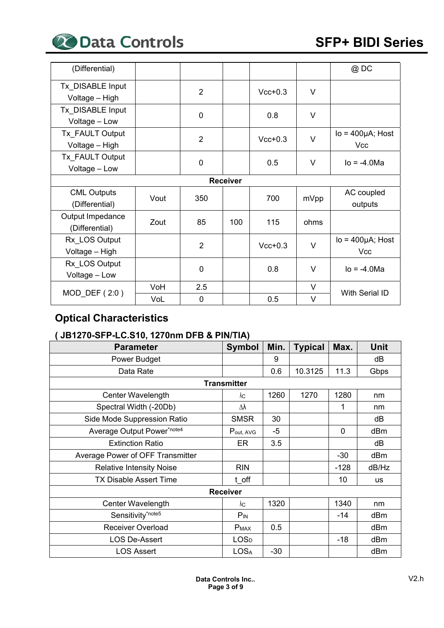

| (Differential)                       |                 |                |     |           |        | @DC                                   |  |  |  |
|--------------------------------------|-----------------|----------------|-----|-----------|--------|---------------------------------------|--|--|--|
| Tx DISABLE Input<br>Voltage - High   |                 | $\overline{2}$ |     | $Vcc+0.3$ | V      |                                       |  |  |  |
| Tx DISABLE Input<br>Voltage - Low    |                 | 0              |     | 0.8       | $\vee$ |                                       |  |  |  |
| Tx FAULT Output<br>Voltage - High    |                 | $\overline{2}$ |     | $Vcc+0.3$ | $\vee$ | $Io = 400 \mu A$ ; Host<br><b>Vcc</b> |  |  |  |
| Tx FAULT Output<br>Voltage - Low     |                 | $\overline{0}$ |     | 0.5       | V      | $I_0 = -4.0$ Ma                       |  |  |  |
|                                      | <b>Receiver</b> |                |     |           |        |                                       |  |  |  |
| <b>CML Outputs</b><br>(Differential) | Vout            | 350            |     | 700       | mVpp   | AC coupled<br>outputs                 |  |  |  |
| Output Impedance<br>(Differential)   | Zout            | 85             | 100 | 115       | ohms   |                                       |  |  |  |
| Rx LOS Output<br>Voltage - High      |                 | $\overline{2}$ |     | $Vcc+0.3$ | $\vee$ | $Io = 400 \mu A$ ; Host<br>Vcc        |  |  |  |
| Rx_LOS Output<br>Voltage - Low       |                 | $\mathbf 0$    |     | 0.8       | V      | $I_0 = -4.0$ Ma                       |  |  |  |
|                                      | VoH             | 2.5            |     |           | V      |                                       |  |  |  |
| $MOD$ DEF $(2:0)$                    | VoL             | 0              |     | 0.5       | V      | With Serial ID                        |  |  |  |

# **Optical Characteristics**

## **( JB1270-SFP-LC.S10, 1270nm DFB & PIN/TIA)**

| <b>Parameter</b>                 | <b>Symbol</b>      | Min.  | <b>Typical</b> | Max.   | Unit  |
|----------------------------------|--------------------|-------|----------------|--------|-------|
| Power Budget                     |                    | 9     |                |        | dB    |
| Data Rate                        |                    | 0.6   | 10.3125        | 11.3   | Gbps  |
|                                  | <b>Transmitter</b> |       |                |        |       |
| Center Wavelength                | λс                 | 1260  | 1270           | 1280   | nm    |
| Spectral Width (-20Db)           | Δλ                 |       |                | 1      | nm    |
| Side Mode Suppression Ratio      | <b>SMSR</b>        | 30    |                |        | dB    |
| Average Output Power*note4       | Pout, AVG          | -5    |                | 0      | dBm   |
| <b>Extinction Ratio</b>          | ER                 | 3.5   |                |        | dB    |
| Average Power of OFF Transmitter |                    |       |                | $-30$  | dBm   |
| <b>Relative Intensity Noise</b>  | <b>RIN</b>         |       |                | $-128$ | dB/Hz |
| <b>TX Disable Assert Time</b>    | t off              |       |                | 10     | us    |
|                                  | <b>Receiver</b>    |       |                |        |       |
| Center Wavelength                | λc                 | 1320  |                | 1340   | nm    |
| Sensitivity*note5                | $P_{IN}$           |       |                | $-14$  | dBm   |
| <b>Receiver Overload</b>         | <b>PMAX</b>        | 0.5   |                |        | dBm   |
| <b>LOS De-Assert</b>             | <b>LOSD</b>        |       |                | $-18$  | dBm   |
| <b>LOS Assert</b>                | <b>LOSA</b>        | $-30$ |                |        | dBm   |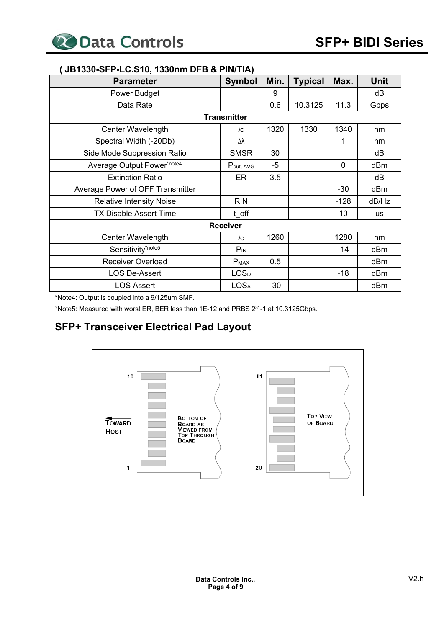| <b>Parameter</b>                 | <b>Symbol</b>           | Min.  | <b>Typical</b> | Max.   | Unit      |
|----------------------------------|-------------------------|-------|----------------|--------|-----------|
| Power Budget                     |                         | 9     |                |        | dB        |
| Data Rate                        |                         | 0.6   | 10.3125        | 11.3   | Gbps      |
|                                  | <b>Transmitter</b>      |       |                |        |           |
| Center Wavelength                | λс                      | 1320  | 1330           | 1340   | nm        |
| Spectral Width (-20Db)           | Δλ                      |       |                | 1      | nm        |
| Side Mode Suppression Ratio      | <b>SMSR</b>             | 30    |                |        | dB        |
| Average Output Power*note4       | Pout, AVG               | $-5$  |                | 0      | dBm       |
| <b>Extinction Ratio</b>          | <b>ER</b>               | 3.5   |                |        | dB        |
| Average Power of OFF Transmitter |                         |       |                | $-30$  | dBm       |
| <b>Relative Intensity Noise</b>  | <b>RIN</b>              |       |                | $-128$ | dB/Hz     |
| <b>TX Disable Assert Time</b>    | t off                   |       |                | 10     | <b>us</b> |
|                                  | <b>Receiver</b>         |       |                |        |           |
| Center Wavelength                | $\lambda$ C             | 1260  |                | 1280   | nm        |
| Sensitivity*note5                | $P_{IN}$                |       |                | $-14$  | dBm       |
| <b>Receiver Overload</b>         | $P_{MAX}$               | 0.5   |                |        | dBm       |
| <b>LOS De-Assert</b>             | <b>LOS</b> <sub>D</sub> |       |                | $-18$  | dBm       |
| <b>LOS Assert</b>                | <b>LOSA</b>             | $-30$ |                |        | dBm       |

#### **( JB1330-SFP-LC.S10, 1330nm DFB & PIN/TIA)**

\*Note4: Output is coupled into a 9/125um SMF.

\*Note5: Measured with worst ER, BER less than 1E-12 and PRBS 231-1 at 10.3125Gbps.

# **SFP+ Transceiver Electrical Pad Layout**

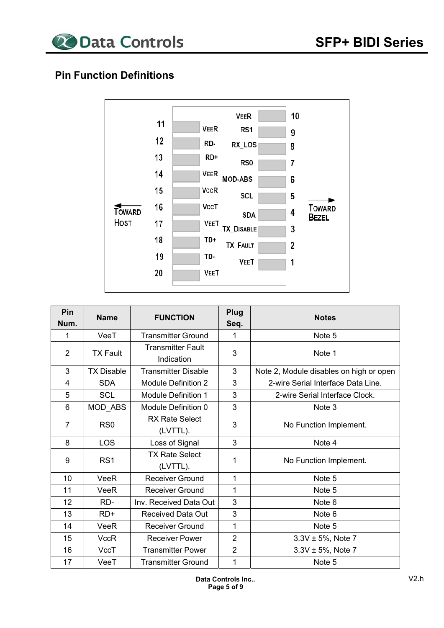

# **Pin Function Definitions**



| Pin<br>Num.    | <b>Name</b>       | <b>FUNCTION</b>                        | Plug<br>Seq.   | <b>Notes</b>                            |
|----------------|-------------------|----------------------------------------|----------------|-----------------------------------------|
| 1              | VeeT              | <b>Transmitter Ground</b>              | 1              | Note 5                                  |
| $\overline{2}$ | <b>TX Fault</b>   | <b>Transmitter Fault</b><br>Indication | 3              | Note 1                                  |
| 3              | <b>TX Disable</b> | <b>Transmitter Disable</b>             | 3              | Note 2, Module disables on high or open |
| 4              | <b>SDA</b>        | <b>Module Definition 2</b>             | 3              | 2-wire Serial Interface Data Line.      |
| 5              | <b>SCL</b>        | <b>Module Definition 1</b>             | 3              | 2-wire Serial Interface Clock.          |
| 6              | MOD ABS           | Module Definition 0                    | 3              | Note 3                                  |
| 7              | RS <sub>0</sub>   | <b>RX Rate Select</b><br>(LVTTL).      | 3              | No Function Implement.                  |
| 8              | LOS               | Loss of Signal                         | 3              | Note 4                                  |
| 9              | RS <sub>1</sub>   | <b>TX Rate Select</b><br>(LVTTL).      | 1              | No Function Implement.                  |
| 10             | VeeR              | <b>Receiver Ground</b>                 | 1              | Note 5                                  |
| 11             | VeeR              | <b>Receiver Ground</b>                 | 1              | Note 5                                  |
| 12             | RD-               | Inv. Received Data Out                 | 3              | Note 6                                  |
| 13             | $RD+$             | <b>Received Data Out</b>               | 3              | Note 6                                  |
| 14             | VeeR              | <b>Receiver Ground</b>                 | 1              | Note 5                                  |
| 15             | <b>VccR</b>       | <b>Receiver Power</b>                  | $\overline{2}$ | $3.3V \pm 5%$ , Note 7                  |
| 16             | VccT              | <b>Transmitter Power</b>               | $\overline{2}$ | $3.3V \pm 5%$ , Note 7                  |
| 17             | VeeT              | <b>Transmitter Ground</b>              | 1              | Note 5                                  |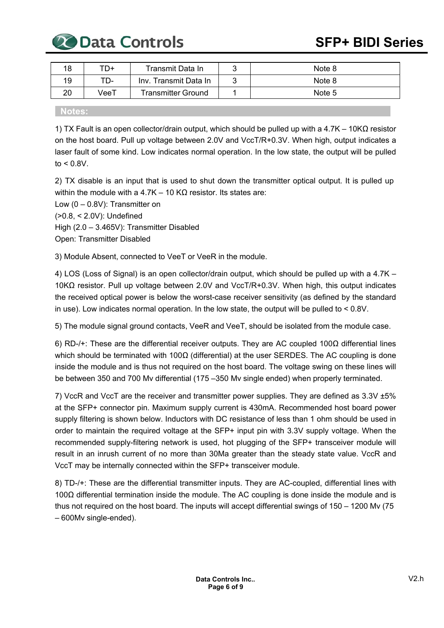20 Data Controls

| 18 | TD+          | Transmit Data In      | Note 8 |
|----|--------------|-----------------------|--------|
| 19 | TD-          | Inv. Transmit Data In | Note 8 |
| 20 | $\sqrt{eeT}$ | Transmitter Ground    | Note 5 |

#### **Notes:**

1) TX Fault is an open collector/drain output, which should be pulled up with a 4.7K – 10KΩ resistor on the host board. Pull up voltage between 2.0V and VccT/R+0.3V. When high, output indicates a laser fault of some kind. Low indicates normal operation. In the low state, the output will be pulled  $to < 0.8V$ .

2) TX disable is an input that is used to shut down the transmitter optical output. It is pulled up within the module with a 4.7K – 10 KΩ resistor. Its states are:

Low  $(0 - 0.8V)$ : Transmitter on (>0.8, < 2.0V): Undefined High (2.0 – 3.465V): Transmitter Disabled Open: Transmitter Disabled

3) Module Absent, connected to VeeT or VeeR in the module.

4) LOS (Loss of Signal) is an open collector/drain output, which should be pulled up with a 4.7K – 10KΩ resistor. Pull up voltage between 2.0V and VccT/R+0.3V. When high, this output indicates the received optical power is below the worst-case receiver sensitivity (as defined by the standard in use). Low indicates normal operation. In the low state, the output will be pulled to < 0.8V.

5) The module signal ground contacts, VeeR and VeeT, should be isolated from the module case.

6) RD-/+: These are the differential receiver outputs. They are AC coupled 100Ω differential lines which should be terminated with 100Ω (differential) at the user SERDES. The AC coupling is done inside the module and is thus not required on the host board. The voltage swing on these lines will be between 350 and 700 Mv differential (175 –350 Mv single ended) when properly terminated.

7) VccR and VccT are the receiver and transmitter power supplies. They are defined as 3.3V ±5% at the SFP+ connector pin. Maximum supply current is 430mA. Recommended host board power supply filtering is shown below. Inductors with DC resistance of less than 1 ohm should be used in order to maintain the required voltage at the SFP+ input pin with 3.3V supply voltage. When the recommended supply-filtering network is used, hot plugging of the SFP+ transceiver module will result in an inrush current of no more than 30Ma greater than the steady state value. VccR and VccT may be internally connected within the SFP+ transceiver module.

8) TD-/+: These are the differential transmitter inputs. They are AC-coupled, differential lines with 100Ω differential termination inside the module. The AC coupling is done inside the module and is thus not required on the host board. The inputs will accept differential swings of 150 – 1200 Mv (75 – 600Mv single-ended).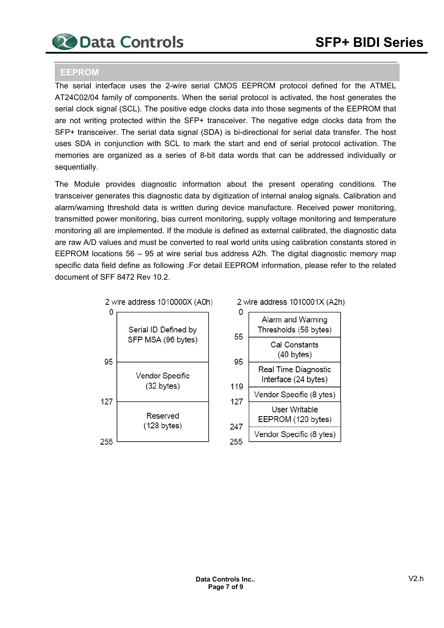

#### **EEPROM**

The serial interface uses the 2-wire serial CMOS EEPROM protocol defined for the ATMEL AT24C02/04 family of components. When the serial protocol is activated, the host generates the serial clock signal (SCL). The positive edge clocks data into those segments of the EEPROM that are not writing protected within the SFP+ transceiver. The negative edge clocks data from the SFP+ transceiver. The serial data signal (SDA) is bi-directional for serial data transfer. The host uses SDA in conjunction with SCL to mark the start and end of serial protocol activation. The memories are organized as a series of 8-bit data words that can be addressed individually or sequentially.

The Module provides diagnostic information about the present operating conditions. The transceiver generates this diagnostic data by digitization of internal analog signals. Calibration and alarm/warning threshold data is written during device manufacture. Received power monitoring, transmitted power monitoring, bias current monitoring, supply voltage monitoring and temperature monitoring all are implemented. If the module is defined as external calibrated, the diagnostic data are raw A/D values and must be converted to real world units using calibration constants stored in EEPROM locations 56 – 95 at wire serial bus address A2h. The digital diagnostic memory map specific data field define as following .For detail EEPROM information, please refer to the related document of SFF 8472 Rev 10.2

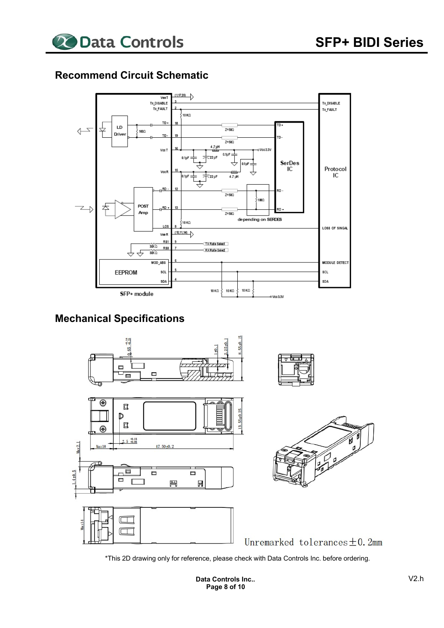

## **Recommend Circuit Schematic**



# **Mechanical Specifications**



\*This 2D drawing only for reference, please check with Data Controls Inc. before ordering.